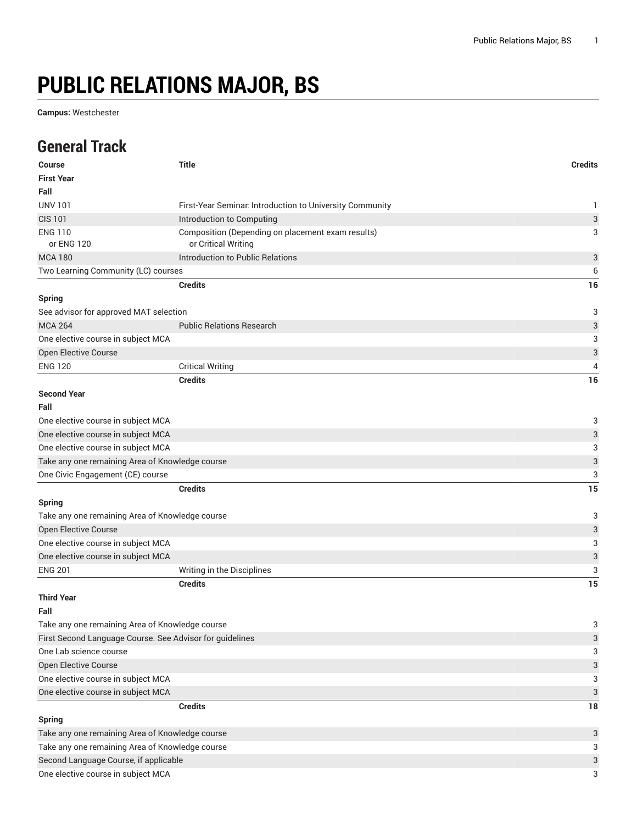## **PUBLIC RELATIONS MAJOR, BS**

**Campus:** Westchester

## **General Track**

| Course                                                   | <b>Title</b>                                                             | <b>Credits</b>            |
|----------------------------------------------------------|--------------------------------------------------------------------------|---------------------------|
| <b>First Year</b>                                        |                                                                          |                           |
| Fall                                                     |                                                                          |                           |
| <b>UNV 101</b>                                           | First-Year Seminar. Introduction to University Community                 | 1                         |
| <b>CIS 101</b>                                           | Introduction to Computing                                                | 3                         |
| <b>ENG 110</b><br>or ENG 120                             | Composition (Depending on placement exam results)<br>or Critical Writing | 3                         |
| <b>MCA 180</b>                                           | Introduction to Public Relations                                         | 3                         |
| Two Learning Community (LC) courses                      |                                                                          | 6                         |
|                                                          | <b>Credits</b>                                                           | 16                        |
| <b>Spring</b>                                            |                                                                          |                           |
| See advisor for approved MAT selection                   |                                                                          | 3                         |
| <b>MCA 264</b>                                           | <b>Public Relations Research</b>                                         | 3                         |
| One elective course in subject MCA                       |                                                                          | 3                         |
| Open Elective Course                                     |                                                                          | 3                         |
| <b>ENG 120</b>                                           | <b>Critical Writing</b>                                                  | 4                         |
|                                                          | <b>Credits</b>                                                           | 16                        |
| <b>Second Year</b>                                       |                                                                          |                           |
| Fall                                                     |                                                                          |                           |
| One elective course in subject MCA                       |                                                                          | 3                         |
| One elective course in subject MCA                       |                                                                          | 3                         |
| One elective course in subject MCA                       |                                                                          | 3                         |
| Take any one remaining Area of Knowledge course          |                                                                          | 3                         |
| One Civic Engagement (CE) course                         |                                                                          | 3                         |
|                                                          | <b>Credits</b>                                                           | 15                        |
| <b>Spring</b>                                            |                                                                          |                           |
| Take any one remaining Area of Knowledge course          |                                                                          | 3                         |
| Open Elective Course                                     |                                                                          | 3                         |
| One elective course in subject MCA                       |                                                                          | 3                         |
| One elective course in subject MCA                       |                                                                          | 3                         |
| <b>ENG 201</b>                                           | Writing in the Disciplines                                               | 3                         |
|                                                          | <b>Credits</b>                                                           | 15                        |
| <b>Third Year</b>                                        |                                                                          |                           |
| Fall                                                     |                                                                          |                           |
| Take any one remaining Area of Knowledge course          |                                                                          | 3                         |
| First Second Language Course. See Advisor for guidelines |                                                                          | 3                         |
| One Lab science course                                   |                                                                          | 3                         |
| Open Elective Course                                     |                                                                          | $\ensuremath{\mathsf{3}}$ |
| One elective course in subject MCA                       |                                                                          | 3                         |
| One elective course in subject MCA                       |                                                                          | 3                         |
|                                                          | <b>Credits</b>                                                           | 18                        |
| Spring                                                   |                                                                          |                           |
| Take any one remaining Area of Knowledge course          |                                                                          | 3                         |
| Take any one remaining Area of Knowledge course          |                                                                          |                           |
| Second Language Course, if applicable                    |                                                                          |                           |
| One elective course in subject MCA                       |                                                                          | 3<br>3                    |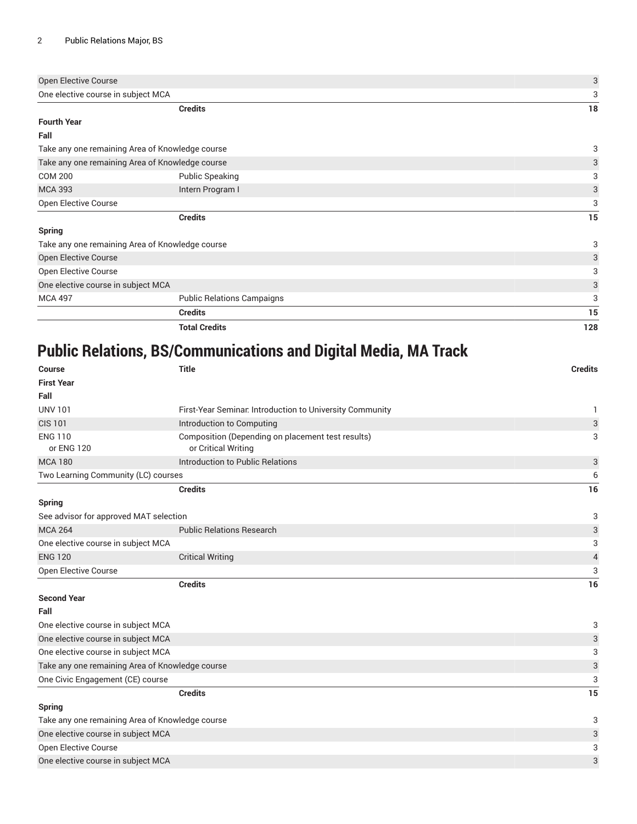| Open Elective Course                            |                                                 | 3   |
|-------------------------------------------------|-------------------------------------------------|-----|
| One elective course in subject MCA              |                                                 | 3   |
|                                                 | <b>Credits</b>                                  | 18  |
| <b>Fourth Year</b>                              |                                                 |     |
| Fall                                            |                                                 |     |
| Take any one remaining Area of Knowledge course | 3                                               |     |
|                                                 | Take any one remaining Area of Knowledge course | 3   |
| <b>COM 200</b>                                  | <b>Public Speaking</b>                          | 3   |
| <b>MCA 393</b>                                  | Intern Program I                                | 3   |
| Open Elective Course                            |                                                 | 3   |
|                                                 | <b>Credits</b>                                  | 15  |
| <b>Spring</b>                                   |                                                 |     |
| Take any one remaining Area of Knowledge course |                                                 | 3   |
| Open Elective Course                            |                                                 | 3   |
| <b>Open Elective Course</b>                     |                                                 | 3   |
| One elective course in subject MCA              |                                                 | 3   |
| <b>MCA 497</b>                                  | <b>Public Relations Campaigns</b>               | 3   |
|                                                 | <b>Credits</b>                                  | 15  |
|                                                 | <b>Total Credits</b>                            | 128 |

## **Public Relations, BS/Communications and Digital Media, MA Track**

| <b>Course</b>                                   | Title                                                                    | <b>Credits</b>            |
|-------------------------------------------------|--------------------------------------------------------------------------|---------------------------|
| <b>First Year</b>                               |                                                                          |                           |
| Fall                                            |                                                                          |                           |
| <b>UNV 101</b>                                  | First-Year Seminar. Introduction to University Community                 | 1                         |
| <b>CIS 101</b>                                  | Introduction to Computing                                                | $\sqrt{3}$                |
| <b>ENG 110</b><br>or ENG 120                    | Composition (Depending on placement test results)<br>or Critical Writing | 3                         |
| <b>MCA 180</b>                                  | Introduction to Public Relations                                         | $\ensuremath{\mathsf{3}}$ |
| Two Learning Community (LC) courses             |                                                                          | 6                         |
|                                                 | <b>Credits</b>                                                           | 16                        |
| <b>Spring</b>                                   |                                                                          |                           |
| See advisor for approved MAT selection          | 3                                                                        |                           |
| <b>MCA 264</b>                                  | <b>Public Relations Research</b>                                         | $\ensuremath{\mathsf{3}}$ |
| One elective course in subject MCA              |                                                                          | 3                         |
| <b>ENG 120</b>                                  | <b>Critical Writing</b>                                                  | $\sqrt{4}$                |
| Open Elective Course                            |                                                                          | 3                         |
|                                                 | <b>Credits</b>                                                           | 16                        |
| <b>Second Year</b>                              |                                                                          |                           |
| Fall                                            |                                                                          |                           |
| One elective course in subject MCA              |                                                                          | 3                         |
| One elective course in subject MCA              |                                                                          | $\ensuremath{\mathsf{3}}$ |
| One elective course in subject MCA              |                                                                          | 3                         |
| Take any one remaining Area of Knowledge course |                                                                          | $\ensuremath{\mathsf{3}}$ |
| One Civic Engagement (CE) course                |                                                                          | 3                         |
|                                                 | <b>Credits</b>                                                           | 15                        |
| <b>Spring</b>                                   |                                                                          |                           |
| Take any one remaining Area of Knowledge course |                                                                          |                           |
| One elective course in subject MCA              |                                                                          | 3                         |
| Open Elective Course                            |                                                                          | 3                         |
| One elective course in subject MCA              | 3                                                                        |                           |